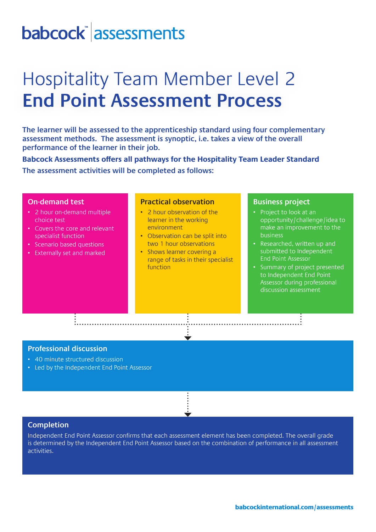# **babcock assessments**

## Hospitality Team Member Level 2 **End Point Assessment Process**

**The learner will be assessed to the apprenticeship standard using four complementary assessment methods. The assessment is synoptic, i.e. takes a view of the overall performance of the learner in their job.**

**Babcock Assessments offers all pathways for the Hospitality Team Leader Standard The assessment activities will be completed as follows:**

#### **On-demand test**

- 2 hour on-demand multiple choice test
- Covers the core and relevant specialist function
- Scenario based questions
- Externally set and marked

### **Practical observation**

- 2 hour observation of the learner in the working environment
- Observation can be split into two 1 hour observations
- Shows learner covering a range of tasks in their specialist function

#### **Business project**

- Project to look at an opportunity/challenge/idea to make an improvement to the business
- Researched, written up and submitted to Independent End Point Assessor
- Summary of project presented to Independent End Point Assessor during professional discussion assessment

### **Professional discussion**

- 40 minute structured discussion
- Led by the Independent End Point Assessor

### **Completion**

Independent End Point Assessor confirms that each assessment element has been completed. The overall grade is determined by the Independent End Point Assessor based on the combination of performance in all assessment activities.